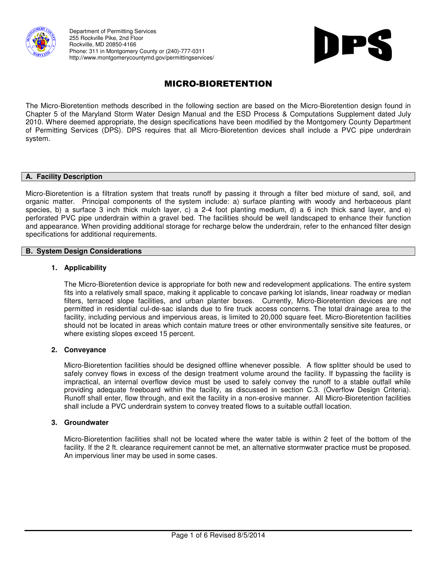



# MICRO-BIORETENTION

The Micro-Bioretention methods described in the following section are based on the Micro-Bioretention design found in Chapter 5 of the Maryland Storm Water Design Manual and the ESD Process & Computations Supplement dated July 2010. Where deemed appropriate, the design specifications have been modified by the Montgomery County Department of Permitting Services (DPS). DPS requires that all Micro-Bioretention devices shall include a PVC pipe underdrain system.

## **A. Facility Description**

Micro-Bioretention is a filtration system that treats runoff by passing it through a filter bed mixture of sand, soil, and organic matter. Principal components of the system include: a) surface planting with woody and herbaceous plant species, b) a surface 3 inch thick mulch layer, c) a 2-4 foot planting medium, d) a 6 inch thick sand layer, and e) perforated PVC pipe underdrain within a gravel bed. The facilities should be well landscaped to enhance their function and appearance. When providing additional storage for recharge below the underdrain, refer to the enhanced filter design specifications for additional requirements.

#### **B. System Design Considerations**

#### **1. Applicability**

The Micro-Bioretention device is appropriate for both new and redevelopment applications. The entire system fits into a relatively small space, making it applicable to concave parking lot islands, linear roadway or median filters, terraced slope facilities, and urban planter boxes. Currently, Micro-Bioretention devices are not permitted in residential cul-de-sac islands due to fire truck access concerns. The total drainage area to the facility, including pervious and impervious areas, is limited to 20,000 square feet. Micro-Bioretention facilities should not be located in areas which contain mature trees or other environmentally sensitive site features, or where existing slopes exceed 15 percent.

#### **2. Conveyance**

Micro-Bioretention facilities should be designed offline whenever possible. A flow splitter should be used to safely convey flows in excess of the design treatment volume around the facility. If bypassing the facility is impractical, an internal overflow device must be used to safely convey the runoff to a stable outfall while providing adequate freeboard within the facility, as discussed in section C.3. (Overflow Design Criteria). Runoff shall enter, flow through, and exit the facility in a non-erosive manner. All Micro-Bioretention facilities shall include a PVC underdrain system to convey treated flows to a suitable outfall location.

#### **3. Groundwater**

Micro-Bioretention facilities shall not be located where the water table is within 2 feet of the bottom of the facility. If the 2 ft. clearance requirement cannot be met, an alternative stormwater practice must be proposed. An impervious liner may be used in some cases.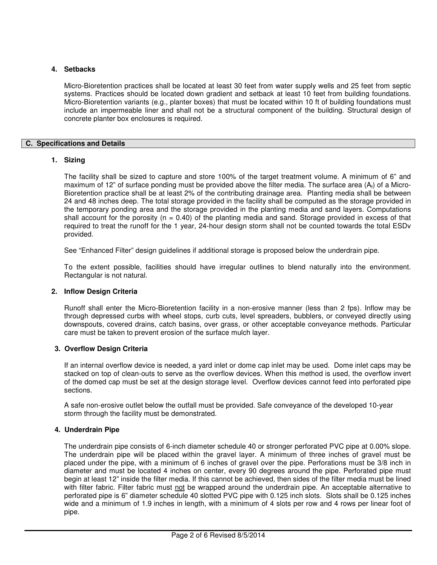# **4. Setbacks**

Micro-Bioretention practices shall be located at least 30 feet from water supply wells and 25 feet from septic systems. Practices should be located down gradient and setback at least 10 feet from building foundations. Micro-Bioretention variants (e.g., planter boxes) that must be located within 10 ft of building foundations must include an impermeable liner and shall not be a structural component of the building. Structural design of concrete planter box enclosures is required.

# **C. Specifications and Details**

## **1. Sizing**

The facility shall be sized to capture and store 100% of the target treatment volume. A minimum of 6" and maximum of 12" of surface ponding must be provided above the filter media. The surface area  $(A_i)$  of a Micro-Bioretention practice shall be at least 2% of the contributing drainage area. Planting media shall be between 24 and 48 inches deep. The total storage provided in the facility shall be computed as the storage provided in the temporary ponding area and the storage provided in the planting media and sand layers. Computations shall account for the porosity ( $n = 0.40$ ) of the planting media and sand. Storage provided in excess of that required to treat the runoff for the 1 year, 24-hour design storm shall not be counted towards the total ESDv provided.

See "Enhanced Filter" design guidelines if additional storage is proposed below the underdrain pipe.

To the extent possible, facilities should have irregular outlines to blend naturally into the environment. Rectangular is not natural.

#### **2. Inflow Design Criteria**

Runoff shall enter the Micro-Bioretention facility in a non-erosive manner (less than 2 fps). Inflow may be through depressed curbs with wheel stops, curb cuts, level spreaders, bubblers, or conveyed directly using downspouts, covered drains, catch basins, over grass, or other acceptable conveyance methods. Particular care must be taken to prevent erosion of the surface mulch layer.

## **3. Overflow Design Criteria**

If an internal overflow device is needed, a yard inlet or dome cap inlet may be used. Dome inlet caps may be stacked on top of clean-outs to serve as the overflow devices. When this method is used, the overflow invert of the domed cap must be set at the design storage level. Overflow devices cannot feed into perforated pipe sections.

A safe non-erosive outlet below the outfall must be provided. Safe conveyance of the developed 10-year storm through the facility must be demonstrated.

## **4. Underdrain Pipe**

The underdrain pipe consists of 6-inch diameter schedule 40 or stronger perforated PVC pipe at 0.00% slope. The underdrain pipe will be placed within the gravel layer. A minimum of three inches of gravel must be placed under the pipe, with a minimum of 6 inches of gravel over the pipe. Perforations must be 3/8 inch in diameter and must be located 4 inches on center, every 90 degrees around the pipe. Perforated pipe must begin at least 12" inside the filter media. If this cannot be achieved, then sides of the filter media must be lined with filter fabric. Filter fabric must not be wrapped around the underdrain pipe. An acceptable alternative to perforated pipe is 6" diameter schedule 40 slotted PVC pipe with 0.125 inch slots. Slots shall be 0.125 inches wide and a minimum of 1.9 inches in length, with a minimum of 4 slots per row and 4 rows per linear foot of pipe.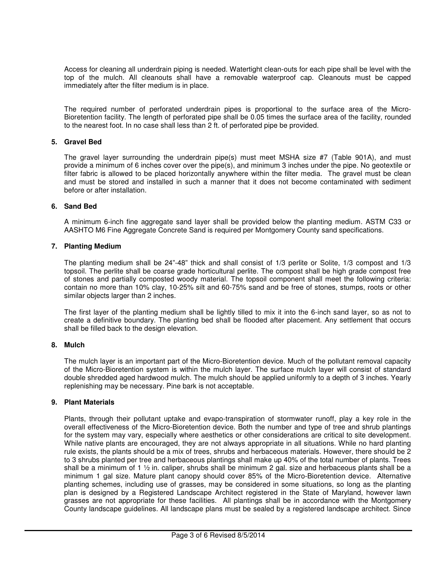Access for cleaning all underdrain piping is needed. Watertight clean-outs for each pipe shall be level with the top of the mulch. All cleanouts shall have a removable waterproof cap. Cleanouts must be capped immediately after the filter medium is in place.

The required number of perforated underdrain pipes is proportional to the surface area of the Micro-Bioretention facility. The length of perforated pipe shall be 0.05 times the surface area of the facility, rounded to the nearest foot. In no case shall less than 2 ft. of perforated pipe be provided.

# **5. Gravel Bed**

The gravel layer surrounding the underdrain pipe(s) must meet MSHA size #7 (Table 901A), and must provide a minimum of 6 inches cover over the pipe(s), and minimum 3 inches under the pipe. No geotextile or filter fabric is allowed to be placed horizontally anywhere within the filter media. The gravel must be clean and must be stored and installed in such a manner that it does not become contaminated with sediment before or after installation.

## **6. Sand Bed**

A minimum 6-inch fine aggregate sand layer shall be provided below the planting medium. ASTM C33 or AASHTO M6 Fine Aggregate Concrete Sand is required per Montgomery County sand specifications.

## **7. Planting Medium**

The planting medium shall be 24"-48" thick and shall consist of 1/3 perlite or Solite, 1/3 compost and 1/3 topsoil. The perlite shall be coarse grade horticultural perlite. The compost shall be high grade compost free of stones and partially composted woody material. The topsoil component shall meet the following criteria: contain no more than 10% clay, 10-25% silt and 60-75% sand and be free of stones, stumps, roots or other similar objects larger than 2 inches.

The first layer of the planting medium shall be lightly tilled to mix it into the 6-inch sand layer, so as not to create a definitive boundary. The planting bed shall be flooded after placement. Any settlement that occurs shall be filled back to the design elevation.

#### **8. Mulch**

The mulch layer is an important part of the Micro-Bioretention device. Much of the pollutant removal capacity of the Micro-Bioretention system is within the mulch layer. The surface mulch layer will consist of standard double shredded aged hardwood mulch. The mulch should be applied uniformly to a depth of 3 inches. Yearly replenishing may be necessary. Pine bark is not acceptable.

#### **9. Plant Materials**

Plants, through their pollutant uptake and evapo-transpiration of stormwater runoff, play a key role in the overall effectiveness of the Micro-Bioretention device. Both the number and type of tree and shrub plantings for the system may vary, especially where aesthetics or other considerations are critical to site development. While native plants are encouraged, they are not always appropriate in all situations. While no hard planting rule exists, the plants should be a mix of trees, shrubs and herbaceous materials. However, there should be 2 to 3 shrubs planted per tree and herbaceous plantings shall make up 40% of the total number of plants. Trees shall be a minimum of 1 ½ in. caliper, shrubs shall be minimum 2 gal. size and herbaceous plants shall be a minimum 1 gal size. Mature plant canopy should cover 85% of the Micro-Bioretention device. Alternative planting schemes, including use of grasses, may be considered in some situations, so long as the planting plan is designed by a Registered Landscape Architect registered in the State of Maryland, however lawn grasses are not appropriate for these facilities. All plantings shall be in accordance with the Montgomery County landscape guidelines. All landscape plans must be sealed by a registered landscape architect. Since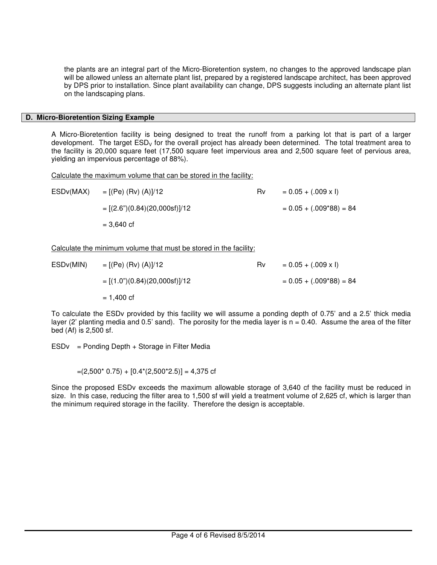the plants are an integral part of the Micro-Bioretention system, no changes to the approved landscape plan will be allowed unless an alternate plant list, prepared by a registered landscape architect, has been approved by DPS prior to installation. Since plant availability can change, DPS suggests including an alternate plant list on the landscaping plans.

## **D. Micro-Bioretention Sizing Example**

A Micro-Bioretention facility is being designed to treat the runoff from a parking lot that is part of a larger development. The target  $ESD<sub>V</sub>$  for the overall project has already been determined. The total treatment area to the facility is 20,000 square feet (17,500 square feet impervious area and 2,500 square feet of pervious area, yielding an impervious percentage of 88%).

Calculate the maximum volume that can be stored in the facility:

| ESDv(MAX) | $= [(Pe) (Rv) (A)]/12$         | <b>Rv</b> | $= 0.05 + (.009 \times I)$ |
|-----------|--------------------------------|-----------|----------------------------|
|           | $=[(2.6")(0.84)(20,000sf)]/12$ |           | $= 0.05 + (.009*88) = 84$  |
|           | $= 3.640 \text{ cf}$           |           |                            |
|           |                                |           |                            |

Calculate the minimum volume that must be stored in the facility:

| ESD <sub>v</sub> (MIN) | $= [(Pe) (Rv) (A)]/12$           | Rv. | $= 0.05 + (.009 \times I)$ |
|------------------------|----------------------------------|-----|----------------------------|
|                        | $=[(1.0") (0.84) (20,000sf)]/12$ |     | $= 0.05 + (.009*88) = 84$  |
|                        | = 1,400 cf                       |     |                            |

To calculate the ESDv provided by this facility we will assume a ponding depth of 0.75' and a 2.5' thick media layer (2' planting media and 0.5' sand). The porosity for the media layer is  $n = 0.40$ . Assume the area of the filter bed (Af) is 2,500 sf.

 $ESDv =$  Ponding Depth + Storage in Filter Media

 $=(2,500*0.75) + [0.4*(2,500*2.5)] = 4,375$  cf

Since the proposed ESDv exceeds the maximum allowable storage of 3,640 cf the facility must be reduced in size. In this case, reducing the filter area to 1,500 sf will yield a treatment volume of 2,625 cf, which is larger than the minimum required storage in the facility. Therefore the design is acceptable.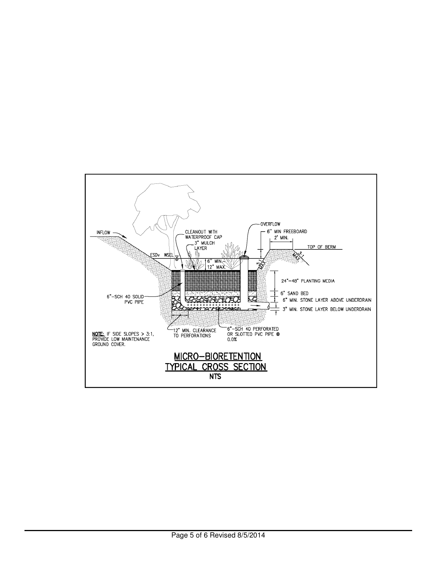